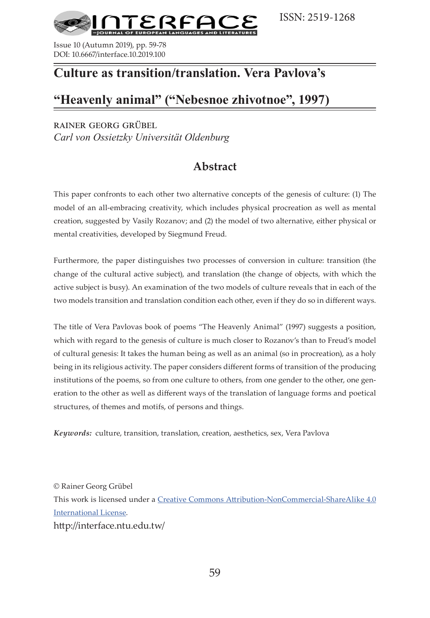

Issue 10 (Autumn 2019), pp. 59-78 DOI: 10.6667/interface.10.2019.100

# **Culture as transition/translation. Vera Pavlova's**

# **"Heavenly animal" ("Nebesnoe zhivotnoe", 1997)**

rainer georg grübel *Carl von Ossietzky Universität Oldenburg*

# **Abstract**

This paper confronts to each other two alternative concepts of the genesis of culture: (1) The model of an all-embracing creativity, which includes physical procreation as well as mental creation, suggested by Vasily Rozanov; and (2) the model of two alternative, either physical or mental creativities, developed by Siegmund Freud.

Furthermore, the paper distinguishes two processes of conversion in culture: transition (the change of the cultural active subject), and translation (the change of objects, with which the active subject is busy). An examination of the two models of culture reveals that in each of the two models transition and translation condition each other, even if they do so in different ways.

The title of Vera Pavlovas book of poems "The Heavenly Аnimal" (1997) suggests a position, which with regard to the genesis of culture is much closer to Rozanov's than to Freud's model of cultural genesis: It takes the human being as well as an animal (so in procreation), as a holy being in its religious activity. The paper considers different forms of transition of the producing institutions of the poems, so from one culture to others, from one gender to the other, one generation to the other as well as different ways of the translation of language forms and poetical structures, of themes and motifs, of persons and things.

*Keywords:* culture, transition, translation, creation, aesthetics, sex, Vera Pavlova

© Rainer Georg Grübel This work is licensed under a [Creative Commons Attribution-NonCommercial-ShareAlike 4.0](https://creativecommons.org/licenses/by-nc-sa/4.0/)  [International License.](https://creativecommons.org/licenses/by-nc-sa/4.0/) http://interface.ntu.edu.tw/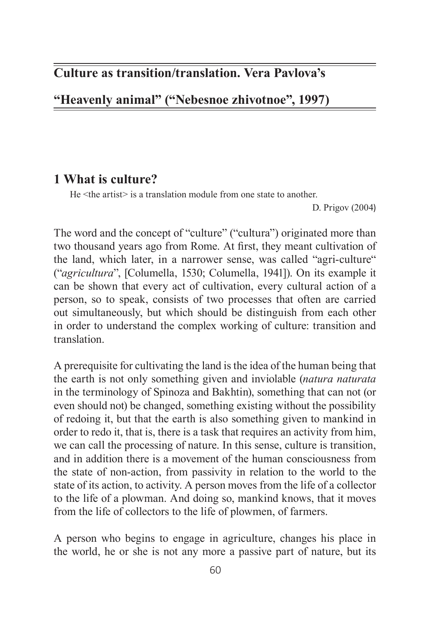# **Culture as transition/translation. Vera Pavlova's**

**"Heavenly animal" ("Nebesnoe zhivotnoe", 1997)**

# **1 What is culture?**

He <the artist> is a translation module from one state to another.

D. Prigov (2004)

The word and the concept of "culture" ("cultura") originated more than two thousand years ago from Rome. At first, they meant cultivation of the land, which later, in a narrower sense, was called "agri-culture" ("*agricultura*", [Columella, 1530; Columella, 1941]). On its example it can be shown that every act of cultivation, every cultural action of a person, so to speak, consists of two processes that often are carried out simultaneously, but which should be distinguish from each other in order to understand the complex working of culture: transition and translation.

A prerequisite for cultivating the land is the idea of the human being that the earth is not only something given and inviolable (*natura naturata* in the terminology of Spinoza and Bakhtin), something that can not (or even should not) be changed, something existing without the possibility of redoing it, but that the earth is also something given to mankind in order to redo it, that is, there is a task that requires an activity from him, we can call the processing of nature. In this sense, culture is transition, and in addition there is a movement of the human consciousness from the state of non-action, from passivity in relation to the world to the state of its action, to activity. A person moves from the life of a collector to the life of a plowman. And doing so, mankind knows, that it moves from the life of collectors to the life of plowmen, of farmers.

A person who begins to engage in agriculture, changes his place in the world, he or she is not any more a passive part of nature, but its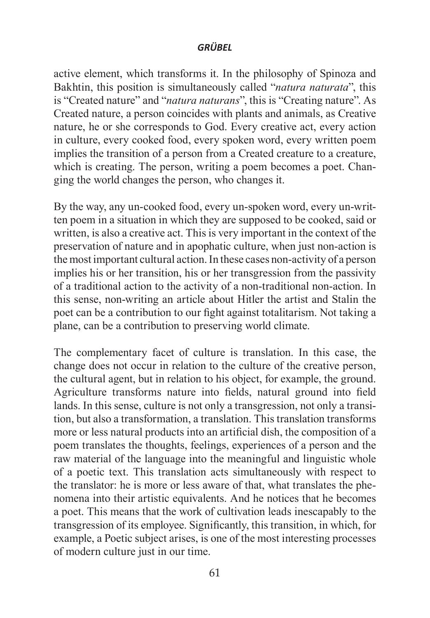active element, which transforms it. In the philosophy of Spinoza and Bakhtin, this position is simultaneously called "*natura naturata*", this is "Created nature" and "*natura naturans*", this is "Creating nature". As Created nature, a person coincides with plants and animals, as Creative nature, he or she corresponds to God. Every creative act, every action in culture, every cooked food, every spoken word, every written poem implies the transition of a person from a Created creature to a creature, which is creating. The person, writing a poem becomes a poet. Changing the world changes the person, who changes it.

By the way, any un-cooked food, every un-spoken word, every un-written poem in a situation in which they are supposed to be cooked, said or written, is also a creative act. This is very important in the context of the preservation of nature and in apophatic culture, when just non-action is the most important cultural action. In these cases non-activity of a person implies his or her transition, his or her transgression from the passivity of a traditional action to the activity of a non-traditional non-action. In this sense, non-writing an article about Hitler the artist and Stalin the poet can be a contribution to our fight against totalitarism. Not taking a plane, can be a contribution to preserving world climate.

The complementary facet of culture is translation. In this case, the change does not occur in relation to the culture of the creative person, the cultural agent, but in relation to his object, for example, the ground. Agriculture transforms nature into fields, natural ground into field lands. In this sense, culture is not only a transgression, not only a transition, but also a transformation, a translation. This translation transforms more or less natural products into an artificial dish, the composition of a poem translates the thoughts, feelings, experiences of a person and the raw material of the language into the meaningful and linguistic whole of a poetic text. This translation acts simultaneously with respect to the translator: he is more or less aware of that, what translates the phenomena into their artistic equivalents. And he notices that he becomes a poet. This means that the work of cultivation leads inescapably to the transgression of its employee. Significantly, this transition, in which, for example, a Poetic subject arises, is one of the most interesting processes of modern culture just in our time.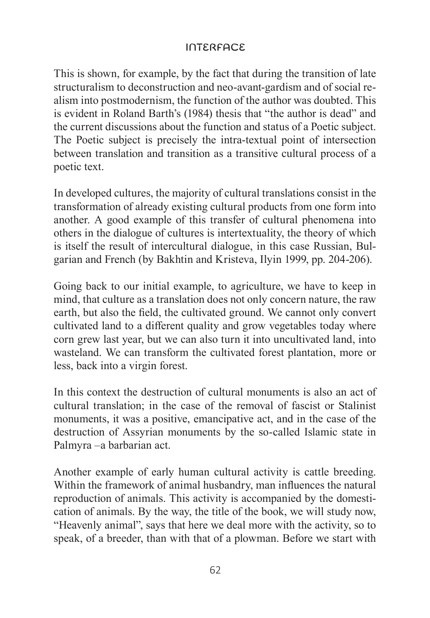This is shown, for example, by the fact that during the transition of late structuralism to deconstruction and neo-avant-gardism and of social realism into postmodernism, the function of the author was doubted. This is evident in Roland Barth's (1984) thesis that "the author is dead" and the current discussions about the function and status of a Poetic subject. The Poetic subject is precisely the intra-textual point of intersection between translation and transition as a transitive cultural process of a poetic text.

In developed cultures, the majority of cultural translations consist in the transformation of already existing cultural products from one form into another. A good example of this transfer of cultural phenomena into others in the dialogue of cultures is intertextuality, the theory of which is itself the result of intercultural dialogue, in this case Russian, Bulgarian and French (by Bakhtin and Kristeva, Ilyin 1999, pp. 204-206).

Going back to our initial example, to agriculture, we have to keep in mind, that culture as a translation does not only concern nature, the raw earth, but also the field, the cultivated ground. We cannot only convert cultivated land to a different quality and grow vegetables today where corn grew last year, but we can also turn it into uncultivated land, into wasteland. We can transform the cultivated forest plantation, more or less, back into a virgin forest.

In this context the destruction of cultural monuments is also an act of cultural translation; in the case of the removal of fascist or Stalinist monuments, it was a positive, emancipative act, and in the case of the destruction of Assyrian monuments by the so-called Islamic state in Palmyra –a barbarian act.

Another example of early human cultural activity is cattle breeding. Within the framework of animal husbandry, man influences the natural reproduction of animals. This activity is accompanied by the domestication of animals. By the way, the title of the book, we will study now, "Heavenly animal", says that here we deal more with the activity, so to speak, of a breeder, than with that of a plowman. Before we start with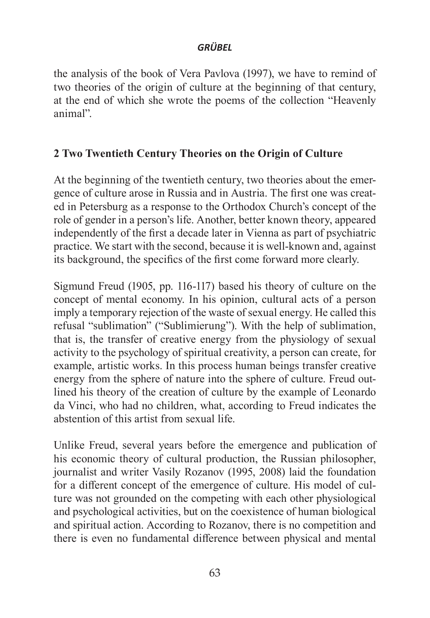the analysis of the book of Vera Pavlova (1997), we have to remind of two theories of the origin of culture at the beginning of that century, at the end of which she wrote the poems of the collection "Heavenly animal".

# **2 Two Twentieth Century Theories on the Origin of Culture**

At the beginning of the twentieth century, two theories about the emergence of culture arose in Russia and in Austria. The first one was created in Petersburg as a response to the Orthodox Church's concept of the role of gender in a person's life. Another, better known theory, appeared independently of the first a decade later in Vienna as part of psychiatric practice. We start with the second, because it is well-known and, against its background, the specifics of the first come forward more clearly.

Sigmund Freud (1905, pp. 116-117) based his theory of culture on the concept of mental economy. In his opinion, cultural acts of a person imply a temporary rejection of the waste of sexual energy. He called this refusal "sublimation" ("Sublimierung"). With the help of sublimation, that is, the transfer of creative energy from the physiology of sexual activity to the psychology of spiritual creativity, a person can create, for example, artistic works. In this process human beings transfer creative energy from the sphere of nature into the sphere of culture. Freud outlined his theory of the creation of culture by the example of Leonardo da Vinci, who had no children, what, according to Freud indicates the abstention of this artist from sexual life.

Unlike Freud, several years before the emergence and publication of his economic theory of cultural production, the Russian philosopher, journalist and writer Vasily Rozanov (1995, 2008) laid the foundation for a different concept of the emergence of culture. His model of culture was not grounded on the competing with each other physiological and psychological activities, but on the coexistence of human biological and spiritual action. According to Rozanov, there is no competition and there is even no fundamental difference between physical and mental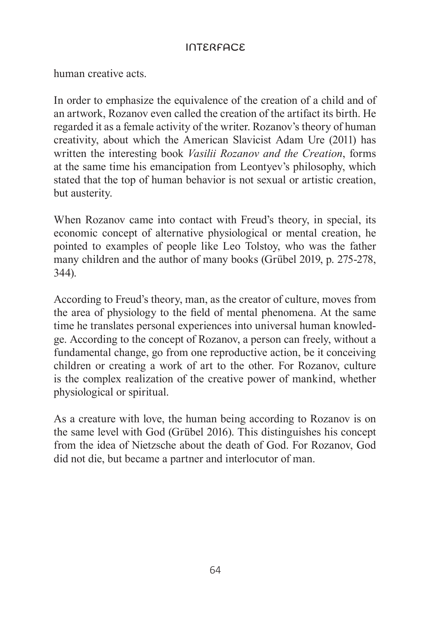human creative acts.

In order to emphasize the equivalence of the creation of a child and of an artwork, Rozanov even called the creation of the artifact its birth. He regarded it as a female activity of the writer. Rozanov's theory of human creativity, about which the American Slavicist Adam Ure (2011) has written the interesting book *Vasilii Rozanov and the Creation*, forms at the same time his emancipation from Leontyev's philosophy, which stated that the top of human behavior is not sexual or artistic creation, but austerity.

When Rozanov came into contact with Freud's theory, in special, its economic concept of alternative physiological or mental creation, he pointed to examples of people like Leo Tolstoy, who was the father many children and the author of many books (Grübel 2019, p. 275-278, 344).

According to Freud's theory, man, as the creator of culture, moves from the area of physiology to the field of mental phenomena. At the same time he translates personal experiences into universal human knowledge. According to the concept of Rozanov, a person can freely, without a fundamental change, go from one reproductive action, be it conceiving children or creating a work of art to the other. For Rozanov, culture is the complex realization of the creative power of mankind, whether physiological or spiritual.

As a creature with love, the human being according to Rozanov is on the same level with God (Grübel 2016). This distinguishes his concept from the idea of Nietzsche about the death of God. For Rozanov, God did not die, but became a partner and interlocutor of man.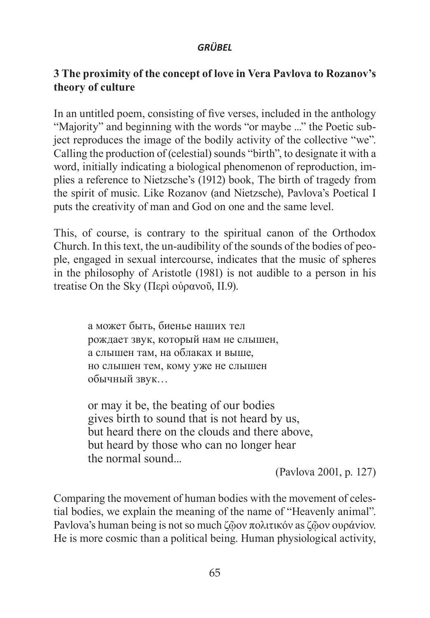# **3 The proximity of the concept of love in Vera Pavlova to Rozanov's theory of culture**

In an untitled poem, consisting of five verses, included in the anthology "Majority" and beginning with the words "or maybe ..." the Poetic subject reproduces the image of the bodily activity of the collective "we". Calling the production of (celestial) sounds "birth", to designate it with a word, initially indicating a biological phenomenon of reproduction, implies a reference to Nietzsche's (1912) book, The birth of tragedy from the spirit of music. Like Rozanov (and Nietzsche), Pavlova's Poetical I puts the creativity of man and God on one and the same level.

This, of course, is contrary to the spiritual canon of the Orthodox Church. In this text, the un-audibility of the sounds of the bodies of people, engaged in sexual intercourse, indicates that the music of spheres in the philosophy of Aristotle (1981) is not audible to a person in his treatise On the Sky (Περὶ οὐρανοῦ, II.9).

> а может быть, биенье наших тел рождает звук, который нам не слышен, а слышен там, на облаках и выше, но слышен тем, кому уже не слышен обычный звук…

or may it be, the beating of our bodies gives birth to sound that is not heard by us, but heard there on the clouds and there above, but heard by those who can no longer hear the normal sound...

(Pavlova 2001, p. 127)

Comparing the movement of human bodies with the movement of celestial bodies, we explain the meaning of the name of "Heavenly animal". Pavlova's human being is not so much ζῷον πολιτικόν as ζῷον ουράνιον. He is more cosmic than a political being. Human physiological activity,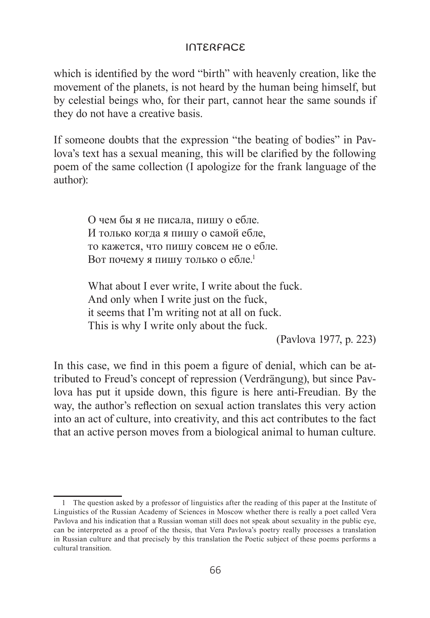which is identified by the word "birth" with heavenly creation, like the movement of the planets, is not heard by the human being himself, but by celestial beings who, for their part, cannot hear the same sounds if they do not have a creative basis.

If someone doubts that the expression "the beating of bodies" in Pavlova's text has a sexual meaning, this will be clarified by the following poem of the same collection (I apologize for the frank language of the author):

> О чем бы я не писала, пишу о ебле. И только когда я пишу о самой ебле, то кажется, что пишу совсем не о ебле. Вот почему я пишу только о ебле.<sup>1</sup>

What about I ever write. I write about the fuck. And only when I write just on the fuck, it seems that I'm writing not at all on fuck. This is why I write only about the fuck.

(Pavlova 1977, p. 223)

In this case, we find in this poem a figure of denial, which can be attributed to Freud's concept of repression (Verdrängung), but since Pavlova has put it upside down, this figure is here anti-Freudian. By the way, the author's reflection on sexual action translates this very action into an act of culture, into creativity, and this act contributes to the fact that an active person moves from a biological animal to human culture.

<sup>1</sup> The question asked by a professor of linguistics after the reading of this paper at the Institute of Linguistics of the Russian Academy of Sciences in Moscow whether there is really a poet called Vera Pavlova and his indication that a Russian woman still does not speak about sexuality in the public eye, can be interpreted as a proof of the thesis, that Vera Pavlova's poetry really processes a translation in Russian culture and that precisely by this translation the Poetic subject of these poems performs a cultural transition.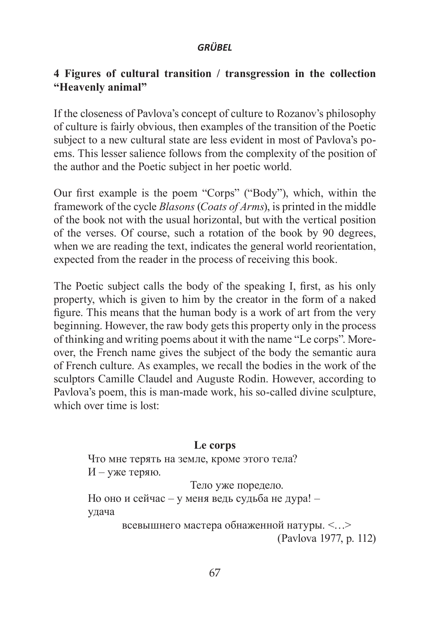## **4 Figures of cultural transition / transgression in the collection "Heavenly animal"**

If the closeness of Pavlova's concept of culture to Rozanov's philosophy of culture is fairly obvious, then examples of the transition of the Poetic subject to a new cultural state are less evident in most of Pavlova's poems. This lesser salience follows from the complexity of the position of the author and the Poetic subject in her poetic world.

Our first example is the poem "Corps" ("Body"), which, within the framework of the cycle *Blasons* (*Coats of Arms*), is printed in the middle of the book not with the usual horizontal, but with the vertical position of the verses. Of course, such a rotation of the book by 90 degrees, when we are reading the text, indicates the general world reorientation, expected from the reader in the process of receiving this book.

The Poetic subject calls the body of the speaking I, first, as his only property, which is given to him by the creator in the form of a naked figure. This means that the human body is a work of art from the very beginning. However, the raw body gets this property only in the process of thinking and writing poems about it with the name "Le corps". Moreover, the French name gives the subject of the body the semantic aura of French culture. As examples, we recall the bodies in the work of the sculptors Camille Claudel and Auguste Rodin. However, according to Pavlova's poem, this is man-made work, his so-called divine sculpture, which over time is lost:

#### **Le corps**

Что мне терять на земле, кроме этого тела?  $H$  – уже теряю. Тело уже поредело.

Но оно и сейчас – у меня ведь судьба не дура! – удача

всевышнего мастера обнаженной натуры. <…> (Pavlova 1977, p. 112)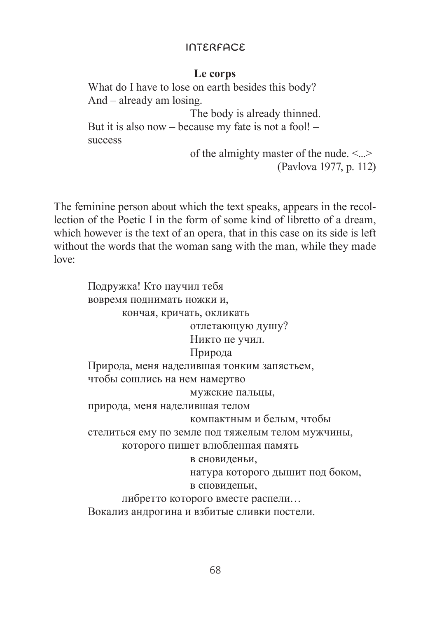## **Le corps**

What do I have to lose on earth besides this body? And – already am losing. The body is already thinned. But it is also now – because my fate is not a fool! – success

> of the almighty master of the nude. <...> (Pavlova 1977, p. 112)

The feminine person about which the text speaks, appears in the recollection of the Poetic I in the form of some kind of libretto of a dream, which however is the text of an opera, that in this case on its side is left without the words that the woman sang with the man, while they made love:

> Подружка! Кто научил тебя вовремя поднимать ножки и, кончая, кричать, окликать отлетающую душу? Никто не учил. Природа Природа, меня наделившая тонким запястьем, чтобы сошлись на нем намертво мужские пальцы, природа, меня наделившая телом компактным и белым, чтобы стелиться ему по земле под тяжелым телом мужчины, которого пишет влюбленная память в сновиденьи, натура которого дышит под боком, в сновиденьи, либретто которого вместе распели… Вокализ андрогина и взбитые сливки постели.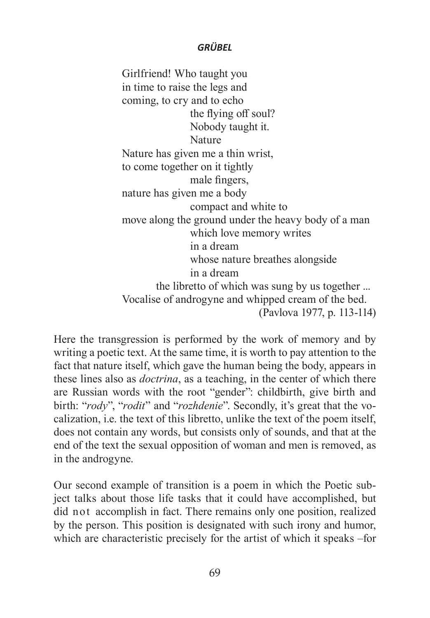Girlfriend! Who taught you in time to raise the legs and coming, to cry and to echo the flying off soul? Nobody taught it. Nature Nature has given me a thin wrist, to come together on it tightly male fingers, nature has given me a body compact and white to move along the ground under the heavy body of a man which love memory writes in a dream whose nature breathes alongside in a dream the libretto of which was sung by us together ... Vocalise of androgyne and whipped cream of the bed. (Pavlova 1977, p. 113-114)

Here the transgression is performed by the work of memory and by writing a poetic text. At the same time, it is worth to pay attention to the fact that nature itself, which gave the human being the body, appears in these lines also as *doctrina*, as a teaching, in the center of which there are Russian words with the root "gender": childbirth, give birth and birth: "*rody*", "*rodit*" and "*rozhdenie*". Secondly, it's great that the vocalization, i.e. the text of this libretto, unlike the text of the poem itself, does not contain any words, but consists only of sounds, and that at the end of the text the sexual opposition of woman and men is removed, as in the androgyne.

Our second example of transition is a poem in which the Poetic subject talks about those life tasks that it could have accomplished, but did not accomplish in fact. There remains only one position, realized by the person. This position is designated with such irony and humor, which are characteristic precisely for the artist of which it speaks –for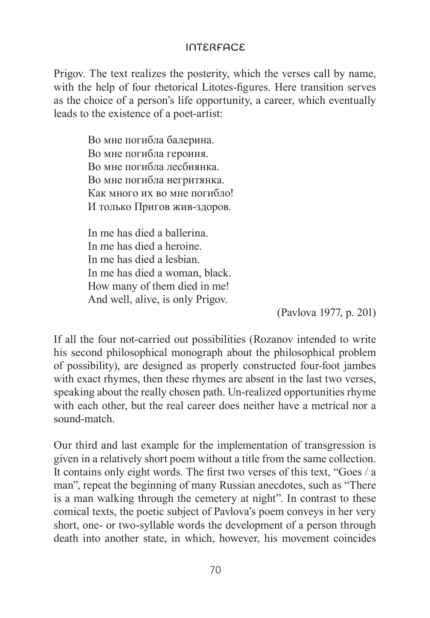Prigov. The text realizes the posterity, which the verses call by name, with the help of four rhetorical Litotes-figures. Here transition serves as the choice of a person's life opportunity, a career, which eventually leads to the existence of a poet-artist:

> Во мне погибла балерина. Во мне погибла героиня. Во мне погибла лесбиянка. Во мне погибла негритянка. Как много их во мне погибло! И только Пригов жив-здоров.

In me has died a ballerina. In me has died a heroine. In me has died a lesbian. In me has died a woman, black. How many of them died in me! And well, alive, is only Prigov.

(Pavlova 1977, p. 201)

If all the four not-carried out possibilities (Rozanov intended to write his second philosophical monograph about the philosophical problem of possibility), are designed as properly constructed four-foot jambes with exact rhymes, then these rhymes are absent in the last two verses, speaking about the really chosen path. Un-realized opportunities rhyme with each other, but the real career does neither have a metrical nor a sound-match.

Our third and last example for the implementation of transgression is given in a relatively short poem without a title from the same collection. It contains only eight words. The first two verses of this text, "Goes / a man", repeat the beginning of many Russian anecdotes, such as "There is a man walking through the cemetery at night". In contrast to these comical texts, the poetic subject of Pavlova's poem conveys in her very short, one- or two-syllable words the development of a person through death into another state, in which, however, his movement coincides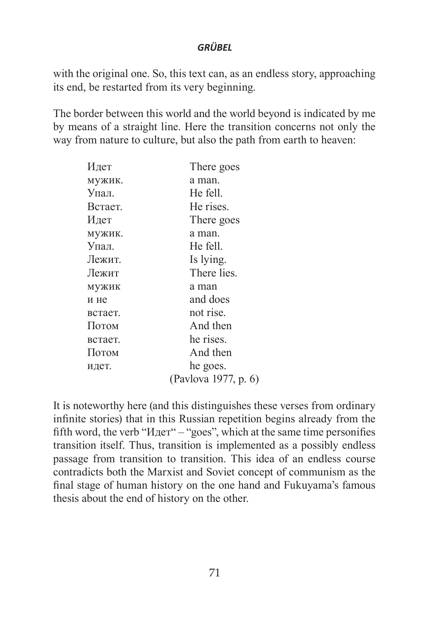with the original one. So, this text can, as an endless story, approaching its end, be restarted from its very beginning.

The border between this world and the world beyond is indicated by me by means of a straight line. Here the transition concerns not only the way from nature to culture, but also the path from earth to heaven:

| Идет    | There goes           |
|---------|----------------------|
| мужик.  | a man.               |
| Упал.   | He fell.             |
| Встает. | He rises.            |
| Идет    | There goes           |
| мужик.  | a man.               |
| Упал.   | He fell.             |
| Лежит.  | Is lying.            |
| Лежит   | There lies.          |
| мужик   | a man                |
| и не    | and does             |
| встает. | not rise.            |
| Потом   | And then             |
| встает. | he rises.            |
| Потом   | And then             |
| идет.   | he goes.             |
|         | (Pavlova 1977, p. 6) |

It is noteworthy here (and this distinguishes these verses from ordinary infinite stories) that in this Russian repetition begins already from the fifth word, the verb "Идет" – "goes", which at the same time personifies transition itself. Thus, transition is implemented as a possibly endless passage from transition to transition. This idea of an endless course contradicts both the Marxist and Soviet concept of communism as the final stage of human history on the one hand and Fukuyama's famous thesis about the end of history on the other.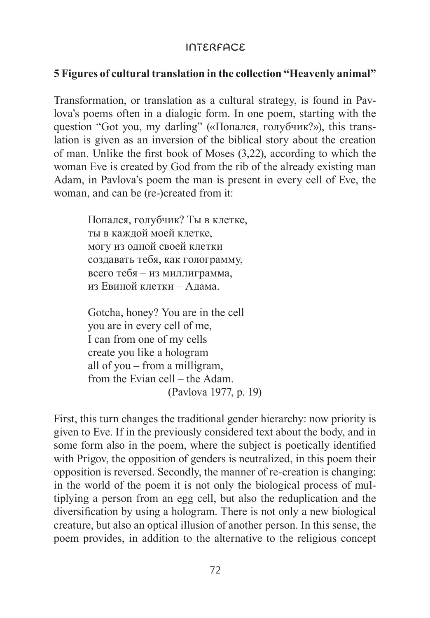# **5 Figures of cultural translation in the collection "Heavenly animal"**

Transformation, or translation as a cultural strategy, is found in Pavlova's poems often in a dialogic form. In one poem, starting with the question "Got you, my darling" («Попался, голубчик?»), this translation is given as an inversion of the biblical story about the creation of man. Unlike the first book of Moses (3,22), according to which the woman Eve is created by God from the rib of the already existing man Adam, in Pavlova's poem the man is present in every cell of Eve, the woman, and can be (re-)created from it:

> Попался, голубчик? Ты в клетке, ты в каждой моей клетке, могу из одной своей клетки создавать тебя, как голограмму, всего тебя – из миллиграмма, из Евиной клетки – Адама.

Gotcha, honey? You are in the cell you are in every cell of me, I can from one of my cells create you like a hologram all of you – from a milligram, from the Evian cell – the Adam. (Pavlova 1977, p. 19)

First, this turn changes the traditional gender hierarchy: now priority is given to Eve. If in the previously considered text about the body, and in some form also in the poem, where the subject is poetically identified with Prigov, the opposition of genders is neutralized, in this poem their opposition is reversed. Secondly, the manner of re-creation is changing: in the world of the poem it is not only the biological process of multiplying a person from an egg cell, but also the reduplication and the diversification by using a hologram. There is not only a new biological creature, but also an optical illusion of another person. In this sense, the poem provides, in addition to the alternative to the religious concept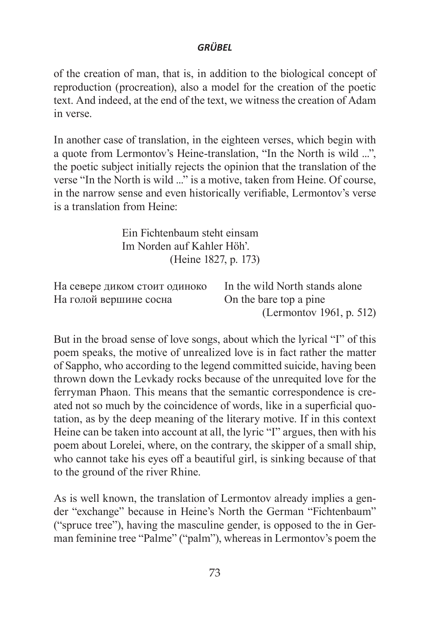of the creation of man, that is, in addition to the biological concept of reproduction (procreation), also a model for the creation of the poetic text. And indeed, at the end of the text, we witness the creation of Adam in verse.

In another case of translation, in the eighteen verses, which begin with a quote from Lermontov's Heine-translation, "In the North is wild ...", the poetic subject initially rejects the opinion that the translation of the verse "In the North is wild ..." is a motive, taken from Heine. Of course, in the narrow sense and even historically verifiable, Lermontov's verse is a translation from Heine:

> Ein Fichtenbaum steht einsam Im Norden auf Kahler Höh'. (Heine 1827, p. 173)

| На севере диком стоит одиноко | In the wild North stands alone |
|-------------------------------|--------------------------------|
| На голой вершине сосна        | On the bare top a pine         |
|                               | (Lermontov 1961, p. 512)       |

But in the broad sense of love songs, about which the lyrical "I" of this poem speaks, the motive of unrealized love is in fact rather the matter of Sappho, who according to the legend committed suicide, having been thrown down the Levkady rocks because of the unrequited love for the ferryman Phaon. This means that the semantic correspondence is created not so much by the coincidence of words, like in a superficial quotation, as by the deep meaning of the literary motive. If in this context Heine can be taken into account at all, the lyric "I" argues, then with his poem about Lorelei, where, on the contrary, the skipper of a small ship, who cannot take his eyes off a beautiful girl, is sinking because of that to the ground of the river Rhine.

As is well known, the translation of Lermontov already implies a gender "exchange" because in Heine's North the German "Fichtenbaum" ("spruce tree"), having the masculine gender, is opposed to the in German feminine tree "Palme" ("palm"), whereas in Lermontov's poem the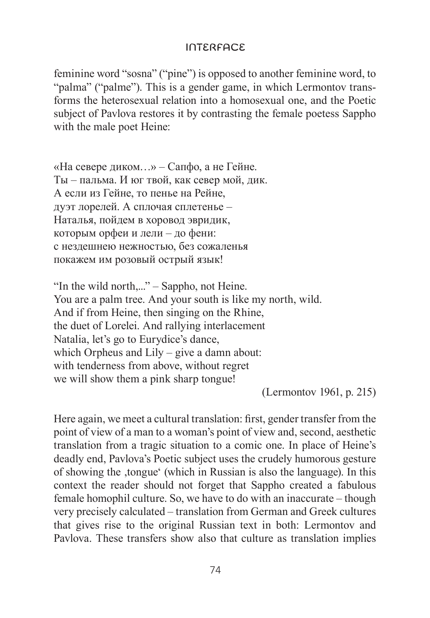feminine word "sosna" ("pine") is opposed to another feminine word, to "palma" ("palme"). This is a gender game, in which Lermontov transforms the heterosexual relation into a homosexual one, and the Poetic subject of Pavlova restores it by contrasting the female poetess Sappho with the male poet Heine:

«На севере диком…» – Сапфо, а не Гейне. Ты – пальма. И юг твой, как север мой, дик. А если из Гейне, то пенье на Рейне, дуэт лорелей. А сплочая сплетенье – Наталья, пойдем в хоровод эвридик, которым орфеи и лели – до фени: с нездешнею нежностью, без сожаленья покажем им розовый острый язык!

"In the wild north,..." – Sappho, not Heine. You are a palm tree. And your south is like my north, wild. Αnd if from Heine, then singing on the Rhine, the duet of Lorelei. And rallying interlacement Natalia, let's go to Eurydice's dance, which Orpheus and Lily – give a damn about: with tenderness from above, without regret we will show them a pink sharp tongue!

(Lermontov 1961, p. 215)

Here again, we meet a cultural translation: first, gender transfer from the point of view of a man to a woman's point of view and, second, aesthetic translation from a tragic situation to a comic one. In place of Heine's deadly end, Pavlova's Poetic subject uses the crudely humorous gesture of showing the ,tongue' (which in Russian is also the language). In this context the reader should not forget that Sappho created a fabulous female homophil culture. So, we have to do with an inaccurate – though very precisely calculated – translation from German and Greek cultures that gives rise to the original Russian text in both: Lermontov and Pavlova. These transfers show also that culture as translation implies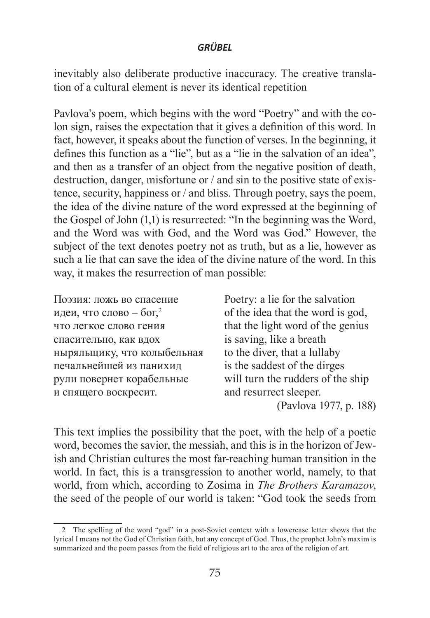inevitably also deliberate productive inaccuracy. The creative translation of a cultural element is never its identical repetition

Pavlova's poem, which begins with the word "Poetry" and with the colon sign, raises the expectation that it gives a definition of this word. In fact, however, it speaks about the function of verses. In the beginning, it defines this function as a "lie", but as a "lie in the salvation of an idea", and then as a transfer of an object from the negative position of death, destruction, danger, misfortune or / and sin to the positive state of existence, security, happiness or / and bliss. Through poetry, says the poem, the idea of the divine nature of the word expressed at the beginning of the Gospel of John (1,1) is resurrected: "In the beginning was the Word, and the Word was with God, and the Word was God." However, the subject of the text denotes poetry not as truth, but as a lie, however as such a lie that can save the idea of the divine nature of the word. In this way, it makes the resurrection of man possible:

| Поэзия: ложь во спасение            | Poetry: a lie for the salvation   |
|-------------------------------------|-----------------------------------|
| идеи, что слово – бог, <sup>2</sup> | of the idea that the word is god, |
| что легкое слово гения              | that the light word of the genius |
| спасительно, как вдох               | is saving, like a breath          |
| ныряльщику, что колыбельная         | to the diver, that a lullaby      |
| печальнейшей из панихид             | is the saddest of the dirges      |
| рули повернет корабельные           | will turn the rudders of the ship |
| и спящего воскресит.                | and resurrect sleeper.            |
|                                     | (Pavlova 1977, p. 188)            |

This text implies the possibility that the poet, with the help of a poetic word, becomes the savior, the messiah, and this is in the horizon of Jewish and Christian cultures the most far-reaching human transition in the world. In fact, this is a transgression to another world, namely, to that world, from which, according to Zosima in *The Brothers Karamazov*, the seed of the people of our world is taken: "God took the seeds from

<sup>2</sup> The spelling of the word "god" in a post-Soviet context with a lowercase letter shows that the lyrical I means not the God of Christian faith, but any concept of God. Thus, the prophet John's maxim is summarized and the poem passes from the field of religious art to the area of the religion of art.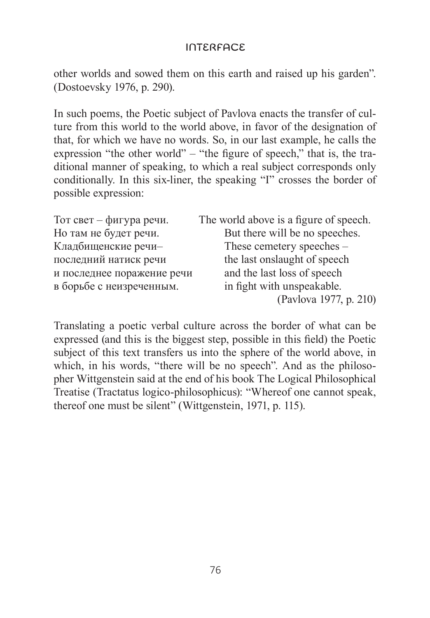other worlds and sowed them on this earth and raised up his garden". (Dostoevsky 1976, p. 290).

In such poems, the Poetic subject of Pavlova enacts the transfer of culture from this world to the world above, in favor of the designation of that, for which we have no words. So, in our last example, he calls the expression "the other world" – "the figure of speech," that is, the traditional manner of speaking, to which a real subject corresponds only conditionally. In this six-liner, the speaking "I" crosses the border of possible expression:

| Тот свет – фигура речи.    | The world above is a figure of speech. |
|----------------------------|----------------------------------------|
| Но там не будет речи.      | But there will be no speeches.         |
| Кладбищенские речи-        | These cemetery speeches –              |
| последний натиск речи      | the last onslaught of speech           |
| и последнее поражение речи | and the last loss of speech            |
| в борьбе с неизреченным.   | in fight with unspeakable.             |
|                            | (Pavlova 1977, p. 210)                 |

Translating a poetic verbal culture across the border of what can be expressed (and this is the biggest step, possible in this field) the Poetic subject of this text transfers us into the sphere of the world above, in which, in his words, "there will be no speech". And as the philosopher Wittgenstein said at the end of his book The Logical Philosophical Treatise (Tractatus logico-philosophicus): "Whereof one cannot speak, thereof one must be silent" (Wittgenstein, 1971, p. 115).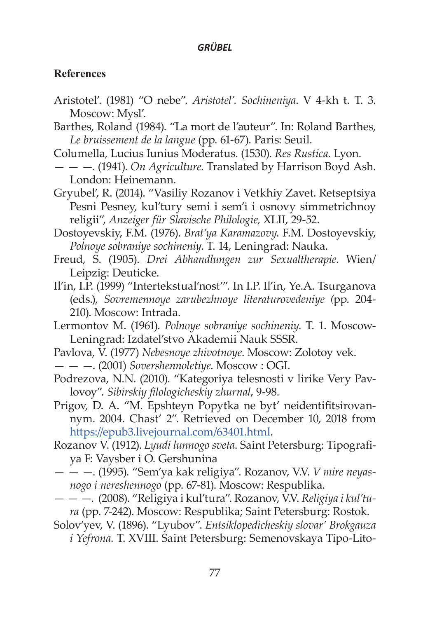### **References**

- Aristotel'. (1981) "O nebe". *Aristotel'. Sochineniya*. V 4-kh t. T. 3. Moscow: Mysl'.
- Barthes, Roland (1984). "La mort de l'auteur". In: Roland Barthes, *Le bruissement de la langue* (pp. 61-67). Paris: Seuil.
- Columella, Lucius Iunius Moderatus. (1530). *Res Rustica*. Lyon.
- — —. (1941). *On Agriculture*. Translated by Harrison Boyd Ash. London: Heinemann.
- Gryubel', R. (2014). "Vasiliy Rozanov i Vetkhiy Zavet. Retseptsiya Pesni Pesney, kul'tury semi i sem'i i osnovy simmetrichnoy religii", *Anzeiger für Slavische Philologie,* XLII, 29-52.
- Dostoyevskiy, F.M. (1976). *Brat'ya Karamazovy*. F.M. Dostoyevskiy, *Polnoye sobraniye sochineniy*. T. 14, Leningrad: Nauka.
- Freud, S. (1905). *Drei Abhandlungen zur Sexualtherapie*. Wien/ Leipzig: Deuticke.
- Il'in, I.P. (1999) "Intertekstual'nost'"*.* In I.P. Il'in, Ye.A. Tsurganova (eds.), *Sovremennoye zarubezhnoye literaturovedeniye (*pp. 204- 210). Moscow: Intrada.
- Lermontov M. (1961). *Polnoye sobraniye sochineniy*. T. 1. Moscow-Leningrad: Izdatel'stvo Akademii Nauk SSSR.
- Pavlova, V. (1977) *Nebesnoye zhivotnoye*. Moscow: Zolotoy vek.
- — —. (2001) *Sovershennoletiye*. Moscow : OGI.
- Podrezova, N.N. (2010). "Kategoriya telesnosti v lirike Very Pavlovoy"*. Sibirskiy filologicheskiy zhurnal*, 9-98.
- Prigov, D. A. "M. Epshteyn Popytka ne byt' neidentifitsirovannym. 2004. Chast' 2". Retrieved on December 10, 2018 from <https://epub3.livejournal.com/63401.html>.
- Rozanov V. (1912). *Lyudi lunnogo sveta*. Saint Petersburg: Tipografiya F: Vaysber i O. Gershunina
- — —. (1995). "Sem'ya kak religiya". Rozanov, V.V. *V mire neyasnogo i nereshennogo* (pp. 67-81). Moscow: Respublika.
- — —. (2008). "Religiya i kul'tura". Rozanov, V.V. *Religiya i kul'tura* (pp. 7-242). Moscow: Respublika; Saint Petersburg: Rostok.
- Solov'yev, V. (1896). "Lyubov". *Entsiklopedicheskiy slovar' Brokgauza i Yefrona*. T. XVIII. Saint Petersburg: Semenovskaya Tipo-Lito-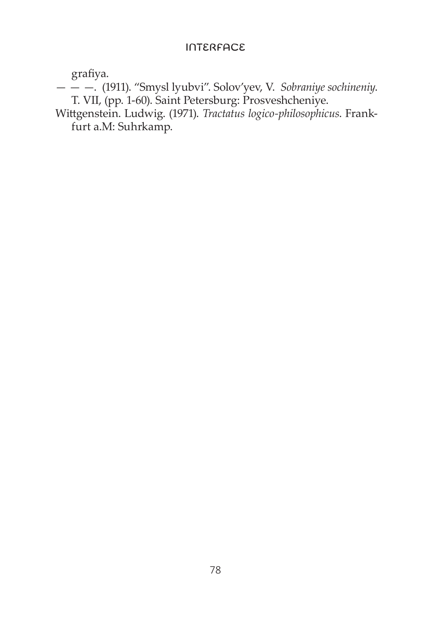grafiya.

— — —. (1911). "Smysl lyubvi". Solov'yev, V. *Sobraniye sochineniy*. T. VII, (pp. 1-60). Saint Petersburg: Prosveshcheniye.

Wittgenstein. Ludwig. (1971). *Tractatus logico-philosophicus*. Frankfurt a.M: Suhrkamp.